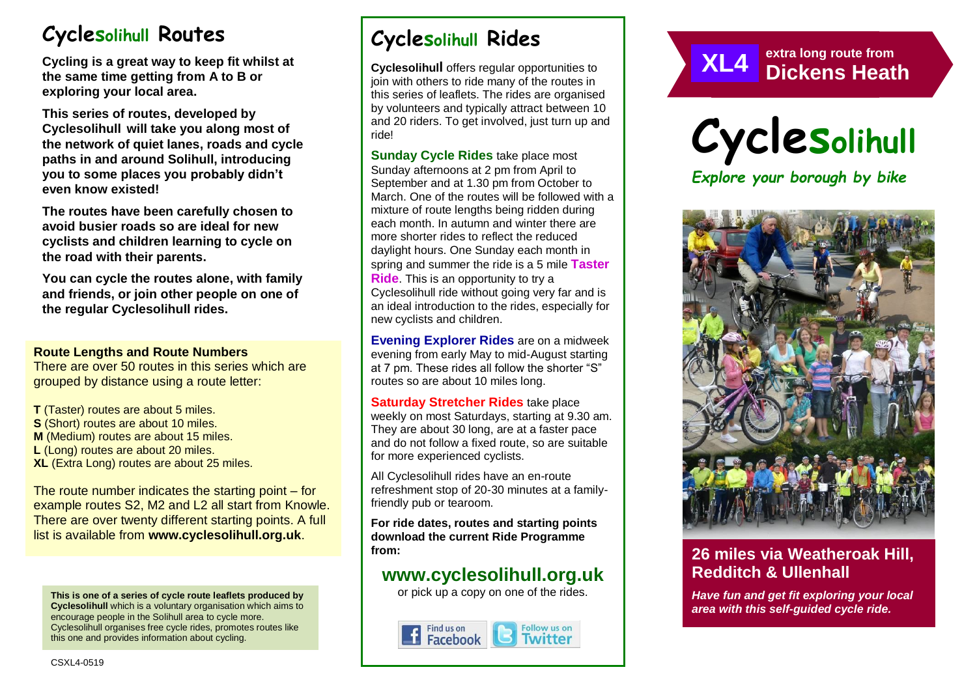# **Cyclesolihull Routes**

**Cycling is a great way to keep fit whilst at the same time getting from A to B or exploring your local area.** 

**This series of routes, developed by Cyclesolihull will take you along most of the network of quiet lanes, roads and cycle paths in and around Solihull, introducing you to some places you probably didn't even know existed!**

**The routes have been carefully chosen to avoid busier roads so are ideal for new cyclists and children learning to cycle on the road with their parents.** 

**You can cycle the routes alone, with family and friends, or join other people on one of the regular Cyclesolihull rides.**

#### **Route Lengths and Route Numbers**

There are over 50 routes in this series which are grouped by distance using a route letter:

**T** (Taster) routes are about 5 miles. **S** (Short) routes are about 10 miles. **M** (Medium) routes are about 15 miles. **L** (Long) routes are about 20 miles. **XL** (Extra Long) routes are about 25 miles.

The route number indicates the starting point – for example routes S2, M2 and L2 all start from Knowle. There are over twenty different starting points. A full list is available from **www.cyclesolihull.org.uk**.

**This is one of a series of cycle route leaflets produced by Cyclesolihull** which is a voluntary organisation which aims to encourage people in the Solihull area to cycle more. Cyclesolihull organises free cycle rides, promotes routes like this one and provides information about cycling.

# **Cyclesolihull Rides**

**Cyclesolihull** offers regular opportunities to join with others to ride many of the routes in this series of leaflets. The rides are organised by volunteers and typically attract between 10 and 20 riders. To get involved, just turn up and ride!

**Sunday Cycle Rides** take place most Sunday afternoons at 2 pm from April to September and at 1.30 pm from October to March. One of the routes will be followed with a mixture of route lengths being ridden during each month. In autumn and winter there are more shorter rides to reflect the reduced daylight hours. One Sunday each month in spring and summer the ride is a 5 mile **Taster Ride**. This is an opportunity to try a Cyclesolihull ride without going very far and is an ideal introduction to the rides, especially for new cyclists and children.

**Evening Explorer Rides** are on a midweek evening from early May to mid-August starting at 7 pm. These rides all follow the shorter "S" routes so are about 10 miles long.

**Saturday Stretcher Rides** take place weekly on most Saturdays, starting at 9.30 am. They are about 30 long, are at a faster pace and do not follow a fixed route, so are suitable for more experienced cyclists.

All Cyclesolihull rides have an en-route refreshment stop of 20-30 minutes at a familyfriendly pub or tearoom.

**For ride dates, routes and starting points download the current Ride Programme from:** 

## **www.cyclesolihull.org.uk**

or pick up a copy on one of the rides.







*Explore your borough by bike*



## **26 miles via Weatheroak Hill, Redditch & Ullenhall**

*Have fun and get fit exploring your local area with this self-guided cycle ride.*